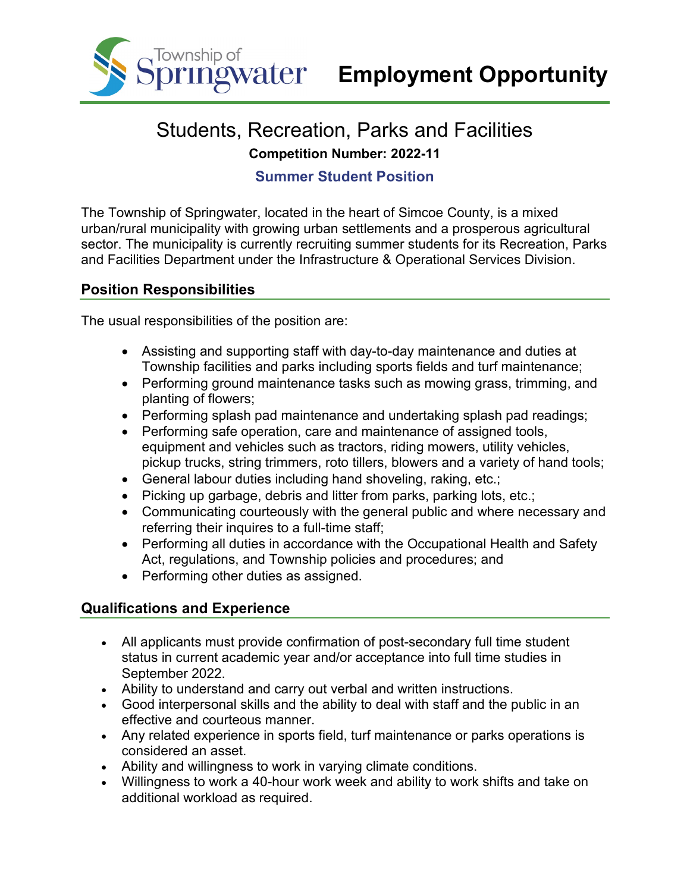

# Students, Recreation, Parks and Facilities **Competition Number: 2022-11**

## **Summer Student Position**

The Township of Springwater, located in the heart of Simcoe County, is a mixed urban/rural municipality with growing urban settlements and a prosperous agricultural sector. The municipality is currently recruiting summer students for its Recreation, Parks and Facilities Department under the Infrastructure & Operational Services Division.

### **Position Responsibilities**

The usual responsibilities of the position are:

- Assisting and supporting staff with day-to-day maintenance and duties at Township facilities and parks including sports fields and turf maintenance;
- Performing ground maintenance tasks such as mowing grass, trimming, and planting of flowers;
- Performing splash pad maintenance and undertaking splash pad readings;
- Performing safe operation, care and maintenance of assigned tools, equipment and vehicles such as tractors, riding mowers, utility vehicles, pickup trucks, string trimmers, roto tillers, blowers and a variety of hand tools;
- General labour duties including hand shoveling, raking, etc.;
- Picking up garbage, debris and litter from parks, parking lots, etc.;
- Communicating courteously with the general public and where necessary and referring their inquires to a full-time staff;
- Performing all duties in accordance with the Occupational Health and Safety Act, regulations, and Township policies and procedures; and
- Performing other duties as assigned.

### **Qualifications and Experience**

- All applicants must provide confirmation of post-secondary full time student status in current academic year and/or acceptance into full time studies in September 2022.
- Ability to understand and carry out verbal and written instructions.
- Good interpersonal skills and the ability to deal with staff and the public in an effective and courteous manner.
- Any related experience in sports field, turf maintenance or parks operations is considered an asset.
- Ability and willingness to work in varying climate conditions.
- Willingness to work a 40-hour work week and ability to work shifts and take on additional workload as required.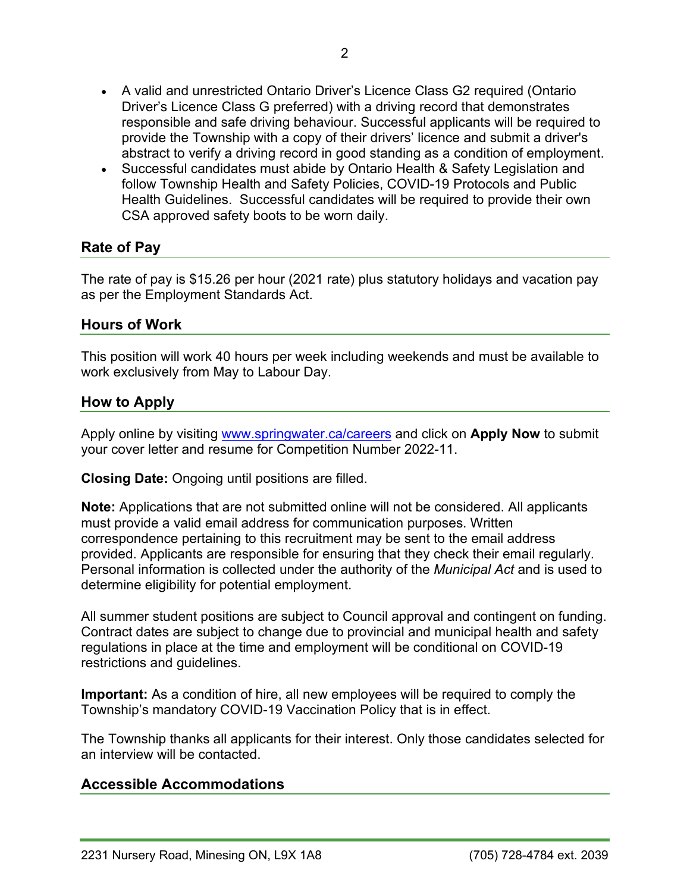- A valid and unrestricted Ontario Driver's Licence Class G2 required (Ontario Driver's Licence Class G preferred) with a driving record that demonstrates responsible and safe driving behaviour. Successful applicants will be required to provide the Township with a copy of their drivers' licence and submit a driver's abstract to verify a driving record in good standing as a condition of employment.
- Successful candidates must abide by Ontario Health & Safety Legislation and follow Township Health and Safety Policies, COVID-19 Protocols and Public Health Guidelines. Successful candidates will be required to provide their own CSA approved safety boots to be worn daily.

### **Rate of Pay**

The rate of pay is \$15.26 per hour (2021 rate) plus statutory holidays and vacation pay as per the Employment Standards Act.

### **Hours of Work**

This position will work 40 hours per week including weekends and must be available to work exclusively from May to Labour Day.

### **How to Apply**

Apply online by visiting [www.springwater.ca/careers](http://www.springwater.ca/careers) and click on **Apply Now** to submit your cover letter and resume for Competition Number 2022-11.

**Closing Date:** Ongoing until positions are filled.

**Note:** Applications that are not submitted online will not be considered. All applicants must provide a valid email address for communication purposes. Written correspondence pertaining to this recruitment may be sent to the email address provided. Applicants are responsible for ensuring that they check their email regularly. Personal information is collected under the authority of the *Municipal Act* and is used to determine eligibility for potential employment.

All summer student positions are subject to Council approval and contingent on funding. Contract dates are subject to change due to provincial and municipal health and safety regulations in place at the time and employment will be conditional on COVID-19 restrictions and guidelines.

**Important:** As a condition of hire, all new employees will be required to comply the Township's mandatory COVID-19 Vaccination Policy that is in effect.

The Township thanks all applicants for their interest. Only those candidates selected for an interview will be contacted.

#### **Accessible Accommodations**